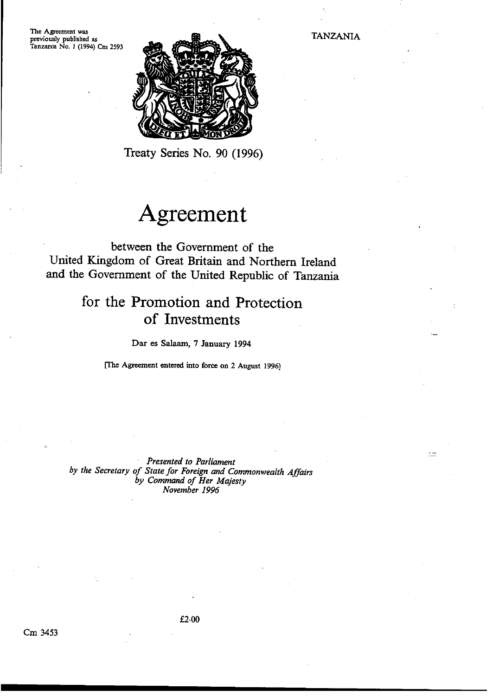**The Agreement was previously publisbed** as Tanzania No. 1 (1994) Cm 2593

TANZANIA



Treaty Series No. 90 (1996)

# **Agreement**

between the Government of the United Kingdom of Great Britain and Northern Ireland and the Government of the United Republic of Tanzania

# for the Promotion and Protection of Investments

Dar es Salaam, 7 January 1994

[The Agreement entered into force on 2 August 1996)

*Presented to Parliament by the Secretary of State for Foreign and Commonwealth Affairs by Command of Her Majesty November 1996* 

£2·00

Cm 3453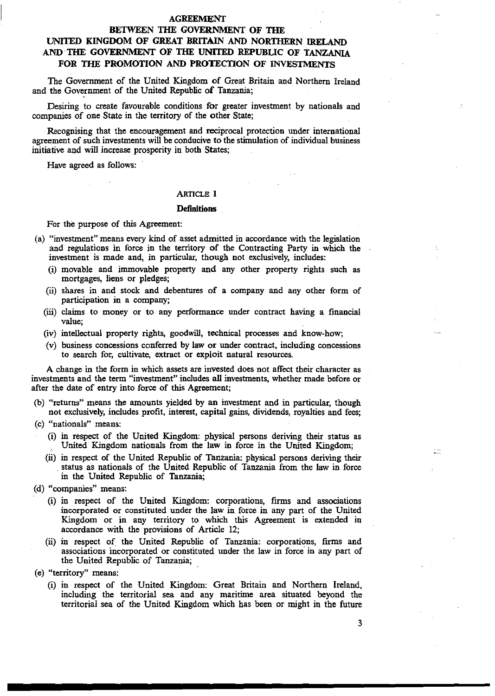# AGREEMENT

# BETWEEN THE GOVERNMENT OF THE UNITED KINGDOM OF GREAT BRITAIN AND NORTHERN IRELAND AND THE GOVERNMENT OF THE UNITED REPUBLIC OF TANZANIA FOR THE PROMOTION AND PROTECTION OF INVESTMENTS

The Government of the United Kingdom of Great Britain and Northern Ireland and the Government of the United Republic of Tanzania;

Desiring to create favourable conditions for greater investment by nationals and companies of one State in the territory of the other State;

Recognising that the encouragement and reciprocal protection under international agreement of such investments will be conducive to the stimulation of individual business initiative and will increase prosperity in both States;

Have agreed as follows:

#### ARTICLE 1

#### Definitions

For the purpose of this Agreement:

- (a) "investment" means every kind of asset admitted in accordance with the legislation and regulations in force in the territory of the Contracting Party in which the investment is made and, in particular, though not exclusively, includes:
	- (i) movable and immovable property and any other property rights such as mortgages, liens or pledges;
	- (ii) shares in and stock and debentures of a company and any other form of participation in a company;
	- (iii) claims to money or to any performance under contract having a financial value;
	- (iv) intellectual property rights, goodwill, technical processes and know-how;
	- (v) business concessions conferred by law or under contract, including concessions to search for, cultivate, extract or exploit natural resources.

A change in the form in which assets are invested does not affect their character as investments and the term "investment" includes all investments, whether made before or after the date of entry into force of this Agreement;

- (b) "returns" means the amounts yielded by an investment and in particular, though not exclusively, includes profit, interest, capital gains, dividends, royalties and fees;
- (c) "nationals" means:
	- (i) in respect of the United Kingdom: physical persons deriving their status as United Kingdom nationals from the law in force in the United Kingdom;
	- (ii) in respect of the United Republic of Tanzania: physical persons deriving their status as nationals of the United Republic of Tanzania from the law in force in the United Republic of Tanzania;
- (d) "companies" means:
	- (i) in respect of the United Kingdom: corporations, firms and associations incorporated or constituted under the law in force in any part of the United Kingdom or in any territory to which this Agreement is extended in accordance with the provisions of Article 12;
	- (ii) in respect of the United Republic of Tanzania: corporations, firms and associations incorporated or constituted under the law in force in any part of the United Republic of Tanzania;
- (e) "territory" means:
	- (i) in respect of the United Kingdom: Great Britain and Northern Ireland, including the territorial sea and any maritime area situated beyond the territorial sea of the United Kingdom which has been or might in the future

 $\mathbf{r}$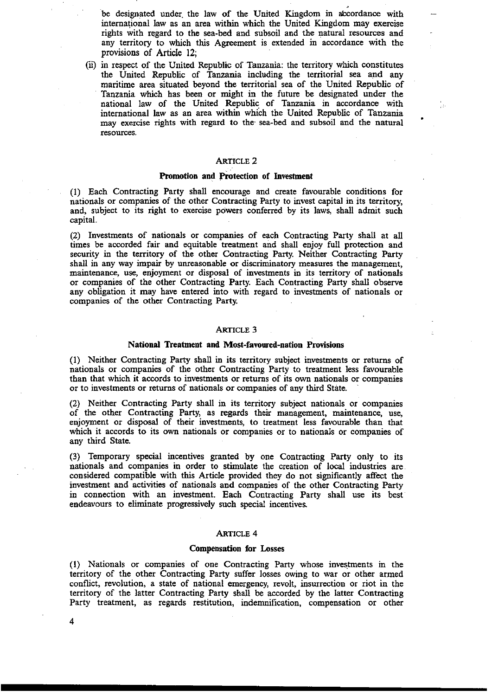be designated under the law of the United Kingdom in accordance with international law as an area within which the United Kingdom may exercise rights with regard to the sea-bed and subsoil and the natural resources and any territory to which this Agreement is extended in accordance with the provisions of Article 12;

(ii) in respect of the United Republic of Tanzania: the territory which constitutes the United Republic of Tanzania induding the territorial sea and any maritime area situated beyond the territorial sea of the United Republic of Tanzania which has been or might in the future be designated under the national law of the United Republic of Tanzania in accordance with international law as an area within which the United Republic of Tanzania may exercise rights with regard to the' sea-bed and subsoil and the natural **resources.** 

•

l.

#### ARTICLE 2

#### Promotion and Protection of Investment

(I) Each Contracting Party shall encourage and create favourable conditions for nationals or companies of the other Contracting Party to invest capital in its territory, and, subject to its right to exercise powers conferred by its laws, shall admit such capital.

(2) Investments of nationals or companies of each Contracting Party shall at all times be accorded fair and equitable treatment and shall enjoy full protection and security in the territory of the other Contracting Party. Neither Contracting Party shall in any way impair by unreasonable or discriminatory measures the management, maintenance, use, enjoyment or disposal of investments in its territory of nationals or companies of the other Contracting Party. Each Contracting Party shall observe any obligation it may have entered into with regard to investments of nationals or companies of the other Contracting Party.

# ARTICLE 3

#### National Treatment and Most-favoured-nation Provisions

(I) Neither Contracting Party shall in its territory subject investments or returns of nationals or companies of the other Contracting Party to treatment less favourable than that which it accords to investments or returns of its own nationals or companies or to investments or returns of nationals or companies of any third State.

(2) Neither Contracting Party shall in its territory subject nationals or companies of the other Contracting Party, as regards their management, maintenance, use, enjoyment or disposal of their investments, to treatment less favourable than that which it accords to its own nationals or companies or to nationals or companies of any third State.

(3) Temporary special incentives granted by one Contracting Party only to its nationals and companies in order to stimulate the creation of local industries are considered compatible with this Article provided they do not significantly affect the investment and activities of nationals and companies of the other Contracting Party in connection with an investment. Each Contracting Party shall use its best endeavours to eliminate progressively such special incentives.

#### ARTICLE 4

#### Compensation for Losses

(I) Nationals or companies of one Contracting Party whose investments in the territory of the other Contracting Party suffer losses owing to war or other armed conflict, revolution, a state of national emergency, revolt, insurrection or riot in the territory of the latter Contracting Party shall be accorded by the latter Contracting Party treatment, as regards restitution, indemnification, compensation or other

4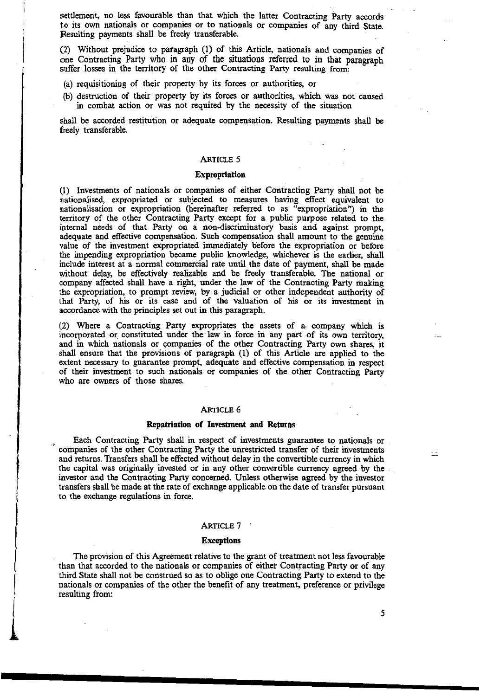settlement, no less favourable than that which the latter Contracting Party accords to its own nationals or companies or to nationals or companies of any third State. Resulting payments shall be freely transferable.

(2) Without prejudice to paragraph (I) of this Article, nationals and companies of one Contracting Party who in any of the situations referred to in that paragraph suffer losses in the territory of the other Contracting Party resulting from:

- (a) requisitioning of their property by its forces or authorities, or
- (b) destruction of their property by its forces or authorities, which was not caused in combat action or was not required by the necessity of the situation

sb.all be accorded restitution or adequate compensation. Resulting payments shall be freely transferable.

# ARTICLE 5

#### **Expropriation**

(1) Investments of nationals or companies of either Contracting Party shall not be nationalised, expropriated or subjected to measures having effect equivalent to nationalisation or expropriation (hereinafter referred to as "expropriation") in the territory of the other Contracting Party except for a public purpose related to the internal needs of that Party on a non-discriminatory basis and against prompt, adequate and effective compensation. Such compensation shall amount to the genuine value of the investment expropriated immediately before the expropriation or before the impending expropriation became public knowledge, whichever is the earlier, shall include interest at a normal commercial rate until the date of payment, shall be made without delay, be effectively realizable and be freely transferable. The national or company affected shall have a right, under the law of the Contracting Party making the expropriation, to prompt review, by a judicial or other independent authority of that Party, of his or its case and of the valuation of his or its investment in accordance with the principles set out in this paragraph.

(2) Where a Contracting Party expropriates the assets of a· company which is incorporated or constituted under the law in force in any part of its own territory, and in which nationals or companies of the other Contracting Party own shares, it shall ensure that the provisions of paragraph (1) of this Article are applied to the extent necessary to guarantee prompt, adequate and effective compensation in respect of their investment to such nationals or companies of the other Contracting Party who are owners of those shares.

#### ARTICLE 6

#### Repatriation of Investment and Returns

Each Contracting Party shall in respect of investments guarantee to nationals or companies of the other Contracting Party the unrestricted transfer of their investments and returns. Transfers shall be effected without delay in the convertible currency in which the capital was originally invested or in any other convertible currency agreed by the investor and the Contracting Party concerned. Unless otherwise agreed by the investor transfers shall be made at the rate of exchange applicable on the date of transfer pursuant to the exchange regulations in force,

#### ARTICLE 7

#### Exceptions

The provision of this Agreement relative to the grant of treatment not less favourable than that accorded to the nationals or companies of either Contracting Party or of any third State shall not be construed so as to oblige one Contracting Party to extend to the nationals or companies of the other the benefit of any treatment, preference or privilege resulting from:

 $\begin{bmatrix} 1 & 0 \\ 0 & 1 \end{bmatrix}$ 

 $\begin{array}{c} \begin{array}{c} \end{array} \end{array}$ 

 $\overline{\mathbf{a}}$ 

 $\pm$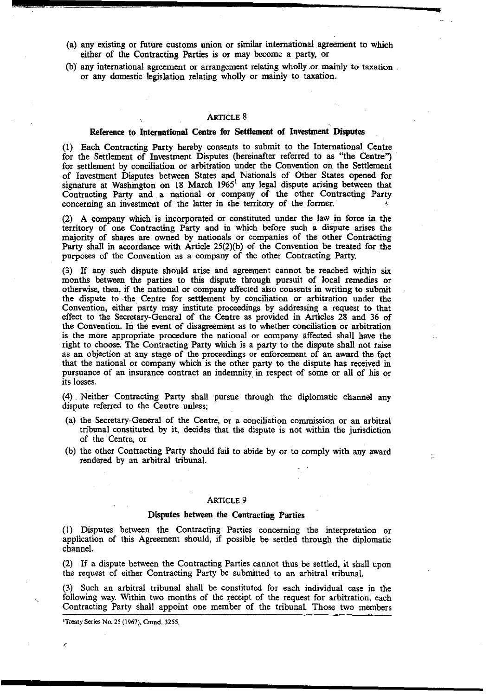(a) any existing or future customs union or similar international agreement to which either of the Contracting Parties is or may become a party, or

**q** 

 $\mathbb{R}^2$ 

(b) any international agreement or arrangement relating wholly or mainly to taxation or any domestic legislation relating wholly or mainly to taxation.

#### ARTICLE 8

#### Reference to International Centre for Settlement of Investment Disputes

(I) Each Contracting Party hereby consents to submit to the International Centre for the Settlement of Investment Disputes (hereinafter referred to as "the Centre") for settlement by conciliation or arbitration under the Convention on the Settlement of Investment Disputes between States and Nationals of Other States opened for signature at Washington on 18 March 1965<sup>1</sup> any legal dispute arising between that Contracting Party and a national or company of the other Contracting Party concerning an investment of the latter in the territory of the former.

(2) A company which is incorporated or constituted under the law in force in the territory of one Contracting Party and in which before such a dispute arises the majority of shares are owned by nationals or companies of the other Contracting Party shall in accordance with Article 25(2)(b) of the Convention be treated for the purposes of the Convention as a company of the other Contracting Party.

(3) If any such dispute should arise and agreement cannot be reached within six months between the parties to this dispute through pursuit of local remedies or otherwise, then, if the national or company affected also consents in writing to submit the dispute to the Centre for settlement by conciliation or arbitration under the Convention, either party may institute proceedings by addressing a request to that effect to the Secretary-General of the Centre as provided in Articles 28 and 36 of the Convention. In the event of disagreement as to whether conciliation or arbitration is the more appropriate procedure the national or company affected shal1 have the right to choose. The Contracting Party which is a party to the dispute shall not raise as an objection at any stage of the proceedings or enforcement of an award the fact that the national or company which is the other party to the dispute has received in pursuance of an insurance contract an indemnity in respect of some or all of his or its losses.

(4) . Neither Contracting Party shall pursue through the diplomatic channel any dispute referred to the Centre unless;

- (a) the Secretary-General of the Centre, or a conciliation commission or an arbitral tribunal constituted by it, decides that the dispute is not within the jurisdiction of the Centre, or
- (b) the other Contracting Party should fail to abide by or to comply with any award rendered by an arbitral tribunal.

# **ARTICLE 9**

#### Disputes between the Contracting Parties

(I) Disputes between the Contracting Parties concerning the interpretation or application of this Agreement should, if possible be settled through the diplomatic channel.

(2) If a dispute between the Contracting Parties cannot thus be settled, it shall upon the request of either Contracting Party be submitted to an arbitral tribunal.

(3) Such an arbitral tribunal shall be constituted for each individual case in the following way. Within two months of the receipt of the request for arbitration, each Contracting Party shall appoint one member of the tribunal. Those two members

ITreaty Series No. 2S (1967), Cmnd. 3255.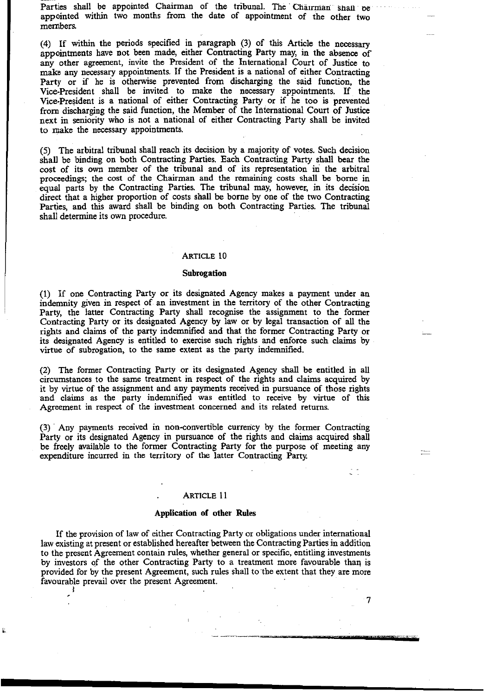Parties shall be appointed Chairman of the tribunal. The Chairman shall be appointed within two months from the date of appointment of the other two members.

(4) If within the periods specified in paragraph (3) of this Article the necessary appointments have not been made, either Contracting Party may, in the absence of any other agreement, invite the President of the International Court of Justice to make any necessary appointments. If the President is a national of either Contracting Party or if he is otherwise prevented from discharging the said function, the Vice-President shall be invited to make the necessary appointments. If the Vice-President is a national of either Contracting Party \_ or if he too is prevented from discharging the said function, the Member of the International Court of Justice next in seniority who is not a national of either Contracting Party shall be invited to make the necessary appointments.

(5) The arbitral tribunal shall reach its decision by a majority of votes. Such decision shall be binding on both Contracting Parties. Each Contracting Party shall bear the cost of its own member of the tribunal and of its representation in the arbitral proceedings; the cost of the Chairman and the remaining costs shall be borne in equal parts by the Contracting Parties. The tribunal may, however, in its decision direct that a higher proportion of costs shall be borne by one of the two Contracting Parties, and this award shall be binding on both Contracting Parties. The tribunal shall determine its own procedure.

#### ARTICLE 10

#### Subrogation

(1) If one Contracting Party or its designated Agency makes a payment under an indemnity given in respect of an investment in the territory of the other Contracting Party, the latter Contracting Party shall recognise the assignment to the former Contracting Party or its designated Agency by law or by legal transaction of all the rights and claims of the party indemnified and that the former Contracting Party or its designated Agency is entitled to exercise such rights and enforce such claims by virtue of subrogation, to the same extent as the party indemnified.

(2) The former Contracting Party or its designated Agency shall be entitled in all circumstances to the same treatment in respect of the rights and claims acquired by it by virtue of the assignment and any payments received in pursuance of those rights and claims as the party indemnified was entitled to receive by virtue of this Agreement in respect of the investment concerned and its related returns.

(3) - Any payments received in non-convertible currency by the former Contracting Party or its designated Agency in pursuance of the rights and claims acquired shall be freely available to the former Contracting Party for the purpose of meeting any expenditure incurred in the territory of the latter Contracting Party.

#### ARTICLE II

#### Application of other Rules

If the provision of law of either Contracting Party or obligations under international law existing at present or established hereafter between the Contracting Parties in addition to the present Agreement contain rules, whether general or specific, entitling investments by investors of the other Contracting Party to a treatment more favourable than is provided for by the present Agreement, such rules shall to the extent that they are more favourable prevail over the present Agreement.

7

•

I